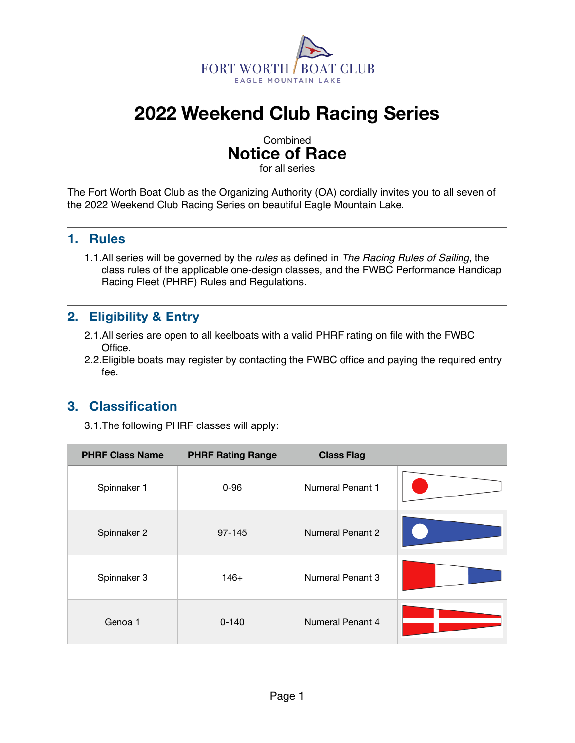

# **2022 Weekend Club Racing Series**

### Combined **Notice of Race**

for all series

The Fort Worth Boat Club as the Organizing Authority (OA) cordially invites you to all seven of the 2022 Weekend Club Racing Series on beautiful Eagle Mountain Lake.

#### **1. Rules**

1.1.All series will be governed by the *rules* as defined in *The Racing Rules of Sailing*, the class rules of the applicable one-design classes, and the FWBC Performance Handicap Racing Fleet (PHRF) Rules and Regulations*.*

#### **2. Eligibility & Entry**

- 2.1.All series are open to all keelboats with a valid PHRF rating on file with the FWBC Office.
- 2.2.Eligible boats may register by contacting the FWBC office and paying the required entry fee.

#### **3. Classification**

3.1.The following PHRF classes will apply:

| <b>PHRF Class Name</b> | <b>PHRF Rating Range</b> | <b>Class Flag</b>       |  |
|------------------------|--------------------------|-------------------------|--|
| Spinnaker 1            | $0 - 96$                 | <b>Numeral Penant 1</b> |  |
| Spinnaker 2            | 97-145                   | <b>Numeral Penant 2</b> |  |
| Spinnaker 3            | $146+$                   | <b>Numeral Penant 3</b> |  |
| Genoa 1                | $0 - 140$                | Numeral Penant 4        |  |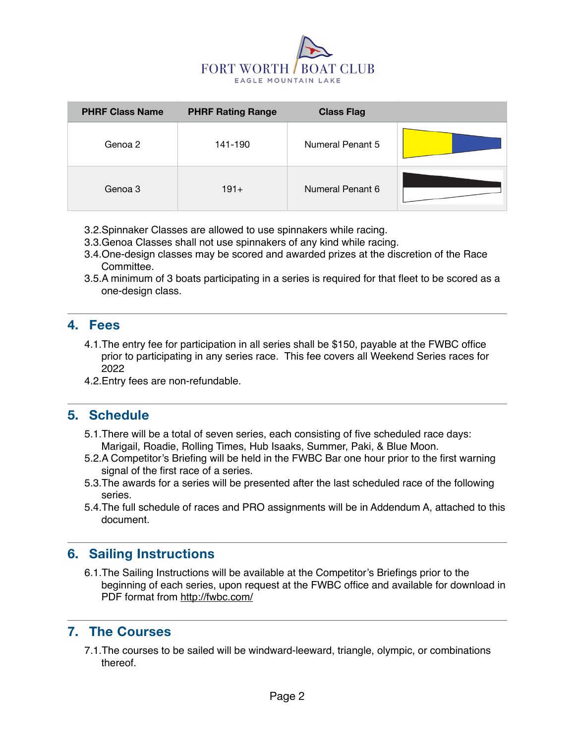

| <b>PHRF Class Name</b> | <b>PHRF Rating Range</b> | <b>Class Flag</b> |  |
|------------------------|--------------------------|-------------------|--|
| Genoa 2                | 141-190                  | Numeral Penant 5  |  |
| Genoa 3                | $191+$                   | Numeral Penant 6  |  |

- 3.2.Spinnaker Classes are allowed to use spinnakers while racing.
- 3.3.Genoa Classes shall not use spinnakers of any kind while racing.
- 3.4.One-design classes may be scored and awarded prizes at the discretion of the Race Committee.
- 3.5.A minimum of 3 boats participating in a series is required for that fleet to be scored as a one-design class.

#### **4. Fees**

- 4.1.The entry fee for participation in all series shall be \$150, payable at the FWBC office prior to participating in any series race. This fee covers all Weekend Series races for 2022
- 4.2.Entry fees are non-refundable.

#### **5. Schedule**

- 5.1.There will be a total of seven series, each consisting of five scheduled race days: Marigail, Roadie, Rolling Times, Hub Isaaks, Summer, Paki, & Blue Moon.
- 5.2.A Competitor's Briefing will be held in the FWBC Bar one hour prior to the first warning signal of the first race of a series.
- 5.3.The awards for a series will be presented after the last scheduled race of the following series.
- 5.4.The full schedule of races and PRO assignments will be in Addendum A, attached to this document.

#### **6. Sailing Instructions**

6.1.The Sailing Instructions will be available at the Competitor's Briefings prior to the beginning of each series, upon request at the FWBC office and available for download in PDF format from<http://fwbc.com/>

#### **7. The Courses**

7.1.The courses to be sailed will be windward-leeward, triangle, olympic, or combinations thereof.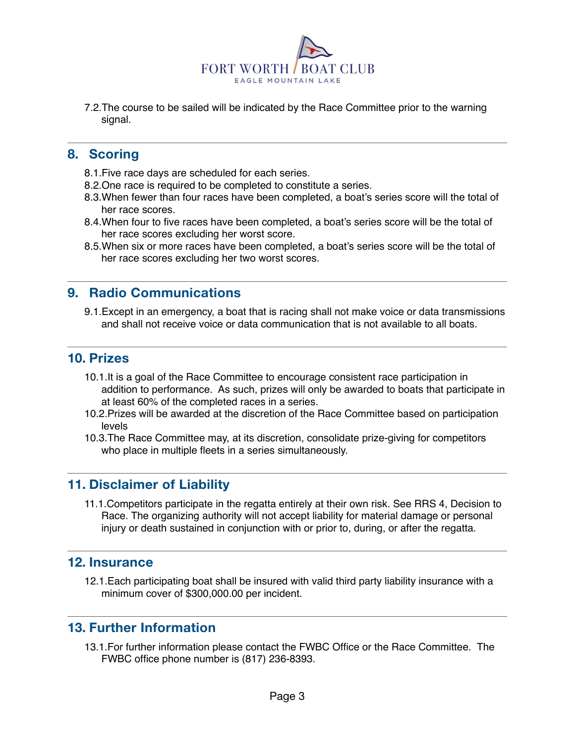

7.2.The course to be sailed will be indicated by the Race Committee prior to the warning signal.

#### **8. Scoring**

- 8.1.Five race days are scheduled for each series.
- 8.2.One race is required to be completed to constitute a series.
- 8.3.When fewer than four races have been completed, a boat's series score will the total of her race scores.
- 8.4.When four to five races have been completed, a boat's series score will be the total of her race scores excluding her worst score.
- 8.5.When six or more races have been completed, a boat's series score will be the total of her race scores excluding her two worst scores.

#### **9. Radio Communications**

9.1.Except in an emergency, a boat that is racing shall not make voice or data transmissions and shall not receive voice or data communication that is not available to all boats.

#### **10. Prizes**

- 10.1.It is a goal of the Race Committee to encourage consistent race participation in addition to performance. As such, prizes will only be awarded to boats that participate in at least 60% of the completed races in a series.
- 10.2.Prizes will be awarded at the discretion of the Race Committee based on participation levels
- 10.3.The Race Committee may, at its discretion, consolidate prize-giving for competitors who place in multiple fleets in a series simultaneously.

#### **11. Disclaimer of Liability**

11.1.Competitors participate in the regatta entirely at their own risk. See RRS 4, Decision to Race. The organizing authority will not accept liability for material damage or personal injury or death sustained in conjunction with or prior to, during, or after the regatta.

#### **12. Insurance**

12.1.Each participating boat shall be insured with valid third party liability insurance with a minimum cover of \$300,000.00 per incident.

#### **13. Further Information**

13.1.For further information please contact the FWBC Office or the Race Committee. The FWBC office phone number is (817) 236-8393.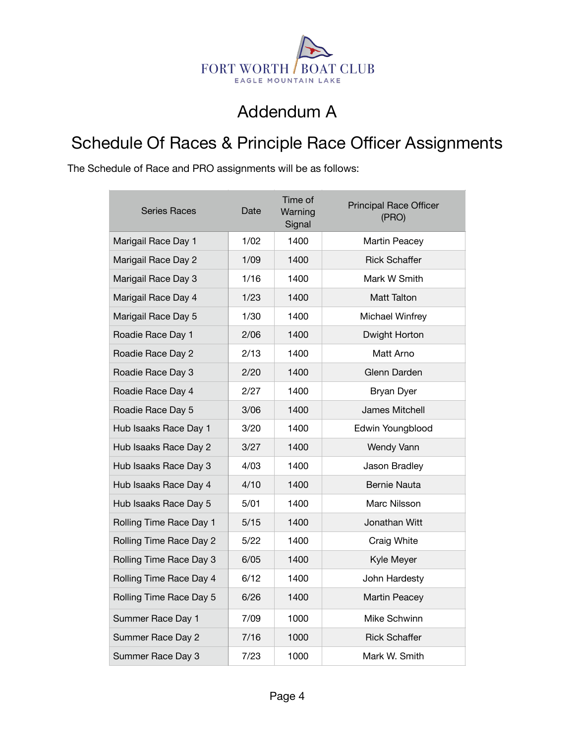

### Addendum A

## Schedule Of Races & Principle Race Officer Assignments

The Schedule of Race and PRO assignments will be as follows:

| Series Races            | Date | Time of<br>Warning<br>Signal | <b>Principal Race Officer</b><br>(PRO) |
|-------------------------|------|------------------------------|----------------------------------------|
| Marigail Race Day 1     | 1/02 | 1400                         | Martin Peacey                          |
| Marigail Race Day 2     | 1/09 | 1400                         | <b>Rick Schaffer</b>                   |
| Marigail Race Day 3     | 1/16 | 1400                         | Mark W Smith                           |
| Marigail Race Day 4     | 1/23 | 1400                         | Matt Talton                            |
| Marigail Race Day 5     | 1/30 | 1400                         | Michael Winfrey                        |
| Roadie Race Day 1       | 2/06 | 1400                         | Dwight Horton                          |
| Roadie Race Day 2       | 2/13 | 1400                         | Matt Arno                              |
| Roadie Race Day 3       | 2/20 | 1400                         | Glenn Darden                           |
| Roadie Race Day 4       | 2/27 | 1400                         | <b>Bryan Dyer</b>                      |
| Roadie Race Day 5       | 3/06 | 1400                         | James Mitchell                         |
| Hub Isaaks Race Day 1   | 3/20 | 1400                         | Edwin Youngblood                       |
| Hub Isaaks Race Day 2   | 3/27 | 1400                         | Wendy Vann                             |
| Hub Isaaks Race Day 3   | 4/03 | 1400                         | Jason Bradley                          |
| Hub Isaaks Race Day 4   | 4/10 | 1400                         | <b>Bernie Nauta</b>                    |
| Hub Isaaks Race Day 5   | 5/01 | 1400                         | Marc Nilsson                           |
| Rolling Time Race Day 1 | 5/15 | 1400                         | Jonathan Witt                          |
| Rolling Time Race Day 2 | 5/22 | 1400                         | Craig White                            |
| Rolling Time Race Day 3 | 6/05 | 1400                         | Kyle Meyer                             |
| Rolling Time Race Day 4 | 6/12 | 1400                         | John Hardesty                          |
| Rolling Time Race Day 5 | 6/26 | 1400                         | <b>Martin Peacey</b>                   |
| Summer Race Day 1       | 7/09 | 1000                         | Mike Schwinn                           |
| Summer Race Day 2       | 7/16 | 1000                         | <b>Rick Schaffer</b>                   |
| Summer Race Day 3       | 7/23 | 1000                         | Mark W. Smith                          |